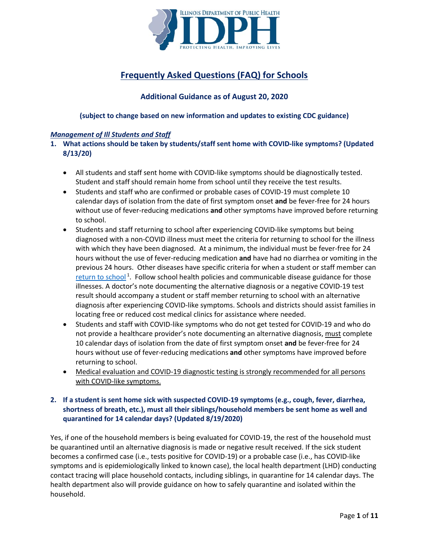

# **Frequently Asked Questions (FAQ) for Schools**

# **Additional Guidance as of August 20, 2020**

**(subject to change based on new information and updates to existing CDC guidance)**

# *Management of Ill Students and Staff*

- **1. What actions should be taken by students/staff sent home with COVID-like symptoms? (Updated 8/13/20)**
	- All students and staff sent home with COVID-like symptoms should be diagnostically tested. Student and staff should remain home from school until they receive the test results.
	- Students and staff who are confirmed or probable cases of COVID-19 must complete 10 calendar days of isolation from the date of first symptom onset **and** be fever-free for 24 hours without use of fever-reducing medications **and** other symptoms have improved before returning to school.
	- Students and staff returning to school after experiencing COVID-like symptoms but being diagnosed with a non-COVID illness must meet the criteria for returning to school for the illness with which they have been diagnosed. At a minimum, the individual must be fever-free for 24 hours without the use of fever-reducing medication **and** have had no diarrhea or vomiting in the previous 24 hours. Other diseases have specific criteria for when a student or staff member can [return to school](https://dph.illinois.gov/sites/default/files/publications/commchartschool-032817.pdf)<sup>1</sup>. Follow school health policies and communicable disease guidance for those illnesses. A doctor's note documenting the alternative diagnosis or a negative COVID-19 test result should accompany a student or staff member returning to school with an alternative diagnosis after experiencing COVID-like symptoms. Schools and districts should assist families in locating free or reduced cost medical clinics for assistance where needed.
	- Students and staff with COVID-like symptoms who do not get tested for COVID-19 and who do not provide a healthcare provider's note documenting an alternative diagnosis, must complete 10 calendar days of isolation from the date of first symptom onset **and** be fever-free for 24 hours without use of fever-reducing medications **and** other symptoms have improved before returning to school.
	- Medical evaluation and COVID-19 diagnostic testing is strongly recommended for all persons with COVID-like symptoms.

# **2. If a student is sent home sick with suspected COVID-19 symptoms (e.g., cough, fever, diarrhea, shortness of breath, etc.), must all their siblings/household members be sent home as well and quarantined for 14 calendar days? (Updated 8/19/2020)**

Yes, if one of the household members is being evaluated for COVID-19, the rest of the household must be quarantined until an alternative diagnosis is made or negative result received. If the sick student becomes a confirmed case (i.e., tests positive for COVID-19) or a probable case (i.e., has COVID-like symptoms and is epidemiologically linked to known case), the local health department (LHD) conducting contact tracing will place household contacts, including siblings, in quarantine for 14 calendar days. The health department also will provide guidance on how to safely quarantine and isolated within the household.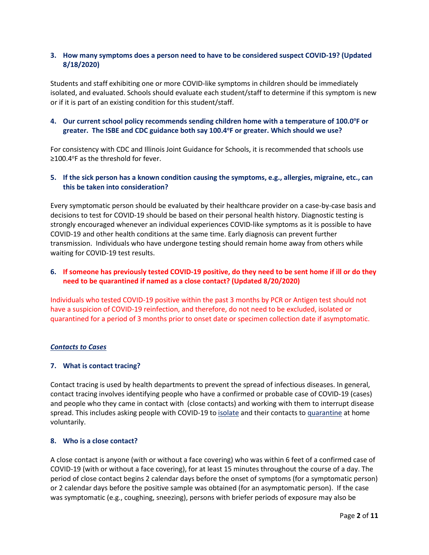# **3. How many symptoms does a person need to have to be considered suspect COVID-19? (Updated 8/18/2020)**

Students and staff exhibiting one or more [COVID-like symptoms in children](https://www.cdc.gov/coronavirus/2019-ncov/hcp/pediatric-hcp.html) should be immediately isolated, and evaluated. Schools should evaluate each student/staff to determine if this symptom is new or if it is part of an existing condition for this student/staff.

# 4. Our current school policy recommends sending children home with a temperature of 100.0°F or greater. The ISBE and CDC guidance both say 100.4°F or greater. Which should we use?

For consistency with CDC and Illinois Joint Guidance for Schools, it is recommended that schools use ≥100.4°F as the threshold for fever.

# **5. If the sick person has a known condition causing the symptoms, e.g., allergies, migraine, etc., can this be taken into consideration?**

Every symptomatic person should be evaluated by their healthcare provider on a case-by-case basis and decisions to test for COVID-19 should be based on their personal health history. Diagnostic testing is strongly encouraged whenever an individual experiences COVID-like symptoms as it is possible to have COVID-19 and other health conditions at the same time. Early diagnosis can prevent further transmission. Individuals who have undergone testing should remain home away from others while waiting for COVID-19 test results.

# **6. If someone has previously tested COVID-19 positive, do they need to be sent home if ill or do they need to be quarantined if named as a close contact? (Updated 8/20/2020)**

Individuals who tested COVID-19 positive within the past 3 months by PCR or Antigen test should not have a suspicion of COVID-19 reinfection, and therefore, do not need to be excluded, isolated or quarantined for a period of 3 months prior to onset date or specimen collection date if asymptomatic.

#### *Contacts to Cases*

#### **7. What is contact tracing?**

Contact tracing is used by health departments to prevent the spread of infectious diseases. In general, contact tracing involves identifying people who have a confirmed or probable case of COVID-19 (cases) and people who they came in contact with (close contacts) and working with them to interrupt disease spread. This includes asking people with COVID-19 to [isolate](https://www.cdc.gov/coronavirus/2019-ncov/if-you-are-sick/quarantine.html) and their contacts to [quarantine](https://www.cdc.gov/coronavirus/2019-ncov/if-you-are-sick/quarantine.html) at home voluntarily.

# **8. Who is a close contact?**

A close contact is anyone (with or without a face covering) who was within 6 feet of a confirmed case of COVID-19 (with or without a face covering), for at least 15 minutes throughout the course of a day. The period of close contact begins 2 calendar days before the onset of symptoms (for a symptomatic person) or 2 calendar days before the positive sample was obtained (for an asymptomatic person). If the case was symptomatic (e.g., coughing, sneezing), persons with briefer periods of exposure may also be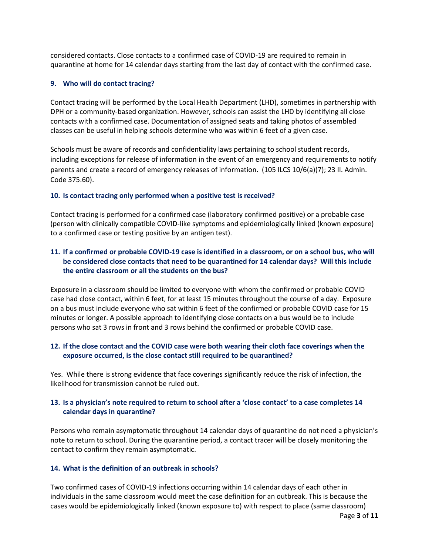considered contacts. Close contacts to a confirmed case of COVID-19 are required to remain in quarantine at home for 14 calendar days starting from the last day of contact with the confirmed case.

#### **9. Who will do contact tracing?**

Contact tracing will be performed by the Local Health Department (LHD), sometimes in partnership with DPH or a community-based organization. However, schools can assist the LHD by identifying all close contacts with a confirmed case. Documentation of assigned seats and taking photos of assembled classes can be useful in helping schools determine who was within 6 feet of a given case.

Schools must be aware of records and confidentiality laws pertaining to school student records, including exceptions for release of information in the event of an emergency and requirements to notify parents and create a record of emergency releases of information. (105 ILCS 10/6(a)(7); 23 Il. Admin. Code 375.60).

#### **10. Is contact tracing only performed when a positive test is received?**

Contact tracing is performed for a confirmed case (laboratory confirmed positive) or a probable case (person with clinically compatible COVID-like symptoms and epidemiologically linked (known exposure) to a confirmed case or testing positive by an antigen test).

# **11. If a confirmed or probable COVID-19 case is identified in a classroom, or on a school bus, who will be considered close contacts that need to be quarantined for 14 calendar days? Will this include the entire classroom or all the students on the bus?**

Exposure in a classroom should be limited to everyone with whom the confirmed or probable COVID case had close contact, within 6 feet, for at least 15 minutes throughout the course of a day. Exposure on a bus must include everyone who sat within 6 feet of the confirmed or probable COVID case for 15 minutes or longer. A possible approach to identifying close contacts on a bus would be to include persons who sat 3 rows in front and 3 rows behind the confirmed or probable COVID case.

# **12. If the close contact and the COVID case were both wearing their cloth face coverings when the exposure occurred, is the close contact still required to be quarantined?**

Yes. While there is strong evidence that face coverings significantly reduce the risk of infection, the likelihood for transmission cannot be ruled out.

# **13. Is a physician's note required to return to school after a 'close contact' to a case completes 14 calendar days in quarantine?**

Persons who remain asymptomatic throughout 14 calendar days of quarantine do not need a physician's note to return to school. During the quarantine period, a contact tracer will be closely monitoring the contact to confirm they remain asymptomatic.

#### **14. What is the definition of an outbreak in schools?**

Two confirmed cases of COVID-19 infections occurring within 14 calendar days of each other in individuals in the same classroom would meet the case definition for an outbreak. This is because the cases would be epidemiologically linked (known exposure to) with respect to place (same classroom)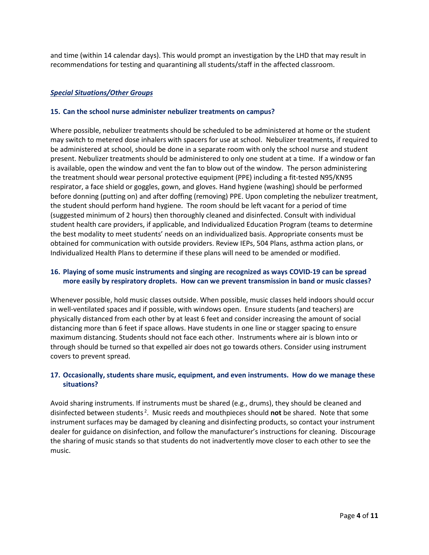and time (within 14 calendar days). This would prompt an investigation by the LHD that may result in recommendations for testing and quarantining all students/staff in the affected classroom.

## *Special Situations/Other Groups*

#### **15. Can the school nurse administer nebulizer treatments on campus?**

Where possible, nebulizer treatments should be scheduled to be administered at home or the student may switch to metered dose inhalers with spacers for use at school. Nebulizer treatments, if required to be administered at school, should be done in a separate room with only the school nurse and student present. Nebulizer treatments should be administered to only one student at a time. If a window or fan is available, open the window and vent the fan to blow out of the window. The person administering the treatment should wear personal protective equipment (PPE) including a fit-tested N95/KN95 respirator, a face shield or goggles, gown, and gloves. Hand hygiene (washing) should be performed before donning (putting on) and after doffing (removing) PPE. Upon completing the nebulizer treatment, the student should perform hand hygiene. The room should be left vacant for a period of time (suggested minimum of 2 hours) then thoroughly cleaned and disinfected. Consult with individual student health care providers, if applicable, and Individualized Education Program (teams to determine the best modality to meet students' needs on an individualized basis. Appropriate consents must be obtained for communication with outside providers. Review IEPs, 504 Plans, asthma action plans, or Individualized Health Plans to determine if these plans will need to be amended or modified.

## **16. Playing of some music instruments and singing are recognized as ways COVID-19 can be spread more easily by respiratory droplets. How can we prevent transmission in band or music classes?**

Whenever possible, hold music classes outside. When possible, music classes held indoors should occur in well-ventilated spaces and if possible, with windows open. Ensure students (and teachers) are physically distanced from each other by at least 6 feet and consider increasing the amount of social distancing more than 6 feet if space allows. Have students in one line or stagger spacing to ensure maximum distancing. Students should not face each other. Instruments where air is blown into or through should be turned so that expelled air does not go towards others. Consider using instrument covers to prevent spread.

# **17. Occasionally, students share music, equipment, and even instruments. How do we manage these situations?**

Avoid sharing instruments. If instruments must be shared (e.g., drums), they should be cleaned and disinfected between students <sup>2</sup> . Music reeds and mouthpieces should **not** be shared. Note that some instrument surfaces may be damaged by cleaning and disinfecting products, so contact your instrument dealer for guidance on disinfection, and follow the manufacturer's instructions for cleaning. Discourage the sharing of music stands so that students do not inadvertently move closer to each other to see the music.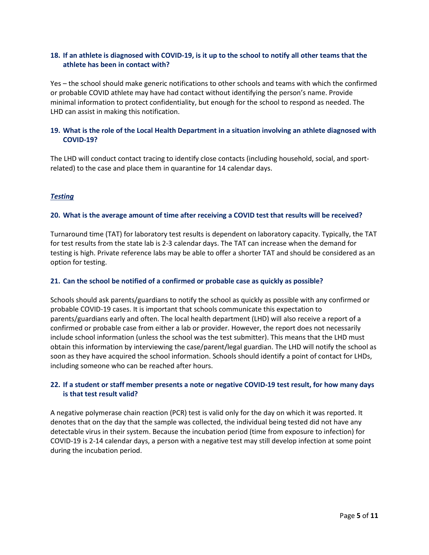# **18. If an athlete is diagnosed with COVID-19, is it up to the school to notify all other teams that the athlete has been in contact with?**

Yes – the school should make generic notifications to other schools and teams with which the confirmed or probable COVID athlete may have had contact without identifying the person's name. Provide minimal information to protect confidentiality, but enough for the school to respond as needed. The LHD can assist in making this notification.

# **19. What is the role of the Local Health Department in a situation involving an athlete diagnosed with COVID-19?**

The LHD will conduct contact tracing to identify close contacts (including household, social, and sportrelated) to the case and place them in quarantine for 14 calendar days.

# *Testing*

#### **20. What is the average amount of time after receiving a COVID test that results will be received?**

Turnaround time (TAT) for laboratory test results is dependent on laboratory capacity. Typically, the TAT for test results from the state lab is 2-3 calendar days. The TAT can increase when the demand for testing is high. Private reference labs may be able to offer a shorter TAT and should be considered as an option for testing.

#### **21. Can the school be notified of a confirmed or probable case as quickly as possible?**

Schools should ask parents/guardians to notify the school as quickly as possible with any confirmed or probable COVID-19 cases. It is important that schools communicate this expectation to parents/guardians early and often. The local health department (LHD) will also receive a report of a confirmed or probable case from either a lab or provider. However, the report does not necessarily include school information (unless the school was the test submitter). This means that the LHD must obtain this information by interviewing the case/parent/legal guardian. The LHD will notify the school as soon as they have acquired the school information. Schools should identify a point of contact for LHDs, including someone who can be reached after hours.

# **22. If a student or staff member presents a note or negative COVID-19 test result, for how many days is that test result valid?**

A negative polymerase chain reaction (PCR) test is valid only for the day on which it was reported. It denotes that on the day that the sample was collected, the individual being tested did not have any detectable virus in their system. Because the incubation period (time from exposure to infection) for COVID-19 is 2-14 calendar days, a person with a negative test may still develop infection at some point during the incubation period.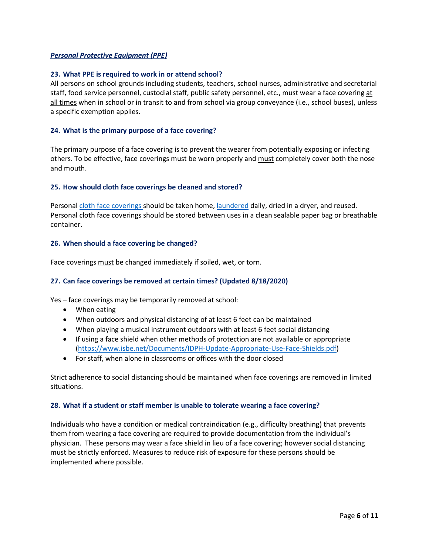## *Personal Protective Equipment (PPE)*

#### **23. What PPE is required to work in or attend school?**

All persons on school grounds including students, teachers, school nurses, administrative and secretarial staff, food service personnel, custodial staff, public safety personnel, etc., must wear a face covering at all times when in school or in transit to and from school via group conveyance (i.e., school buses), unless a specific exemption applies.

#### **24. What is the primary purpose of a face covering?**

The primary purpose of a face covering is to prevent the wearer from potentially exposing or infecting others. To be effective, face coverings must be worn properly and must completely cover both the nose and mouth.

#### **25. How should cloth face coverings be cleaned and stored?**

Personal [cloth face coverings s](https://www.cdc.gov/coronavirus/2019-ncov/downloads/cloth-face-coverings-information.pdf)hould be taken home, [laundered](https://www.cdc.gov/coronavirus/2019-ncov/prevent-getting-sick/how-to-wash-cloth-face-coverings.html) daily, dried in a dryer, and reused. Personal cloth face coverings should be stored between uses in a clean sealable paper bag or breathable container.

#### **26. When should a face covering be changed?**

Face coverings must be changed immediately if soiled, wet, or torn.

# **27. Can face coverings be removed at certain times? (Updated 8/18/2020)**

Yes – face coverings may be temporarily removed at school:

- When eating
- When outdoors and physical distancing of at least 6 feet can be maintained
- When playing a musical instrument outdoors with at least 6 feet social distancing
- If using a face shield when other methods of protection are not available or appropriate [\(https://www.isbe.net/Documents/IDPH-Update-Appropriate-Use-Face-Shields.pdf\)](https://www.isbe.net/Documents/IDPH-Update-Appropriate-Use-Face-Shields.pdf)
- For staff, when alone in classrooms or offices with the door closed

Strict adherence to social distancing should be maintained when face coverings are removed in limited situations.

#### **28. What if a student or staff member is unable to tolerate wearing a face covering?**

Individuals who have a condition or medical contraindication (e.g., difficulty breathing) that prevents them from wearing a face covering are required to provide documentation from the individual's physician. These persons may wear a face shield in lieu of a face covering; however social distancing must be strictly enforced. Measures to reduce risk of exposure for these persons should be implemented where possible.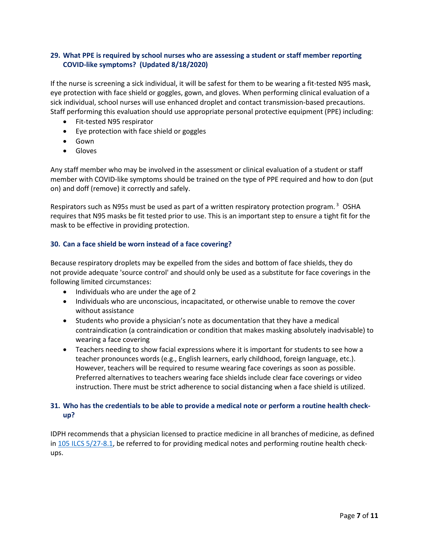# **29. What PPE is required by school nurses who are assessing a student or staff member reporting COVID-like symptoms? (Updated 8/18/2020)**

If the nurse is screening a sick individual, it will be safest for them to be wearing a fit-tested N95 mask, eye protection with face shield or goggles, gown, and gloves. When performing clinical evaluation of a sick individual, school nurses will use enhanced droplet and contact transmission-based precautions. Staff performing this evaluation should use appropriate personal protective equipment (PPE) including:

- Fit-tested N95 respirator
- Eye protection with face shield or goggles
- Gown
- Gloves

Any staff member who may be involved in the assessment or clinical evaluation of a student or staff member with COVID-like symptoms should be trained on the type of PPE required and how to don (put on) and doff (remove) it correctly and safely.

Respirators such as N95s must be used as part of a written respiratory protection program. 3 OSHA requires that N95 masks be fit tested prior to use. This is an important step to ensure a tight fit for the mask to be effective in providing protection.

# **30. Can a face shield be worn instead of a face covering?**

Because respiratory droplets may be expelled from the sides and bottom of face shields, they do not provide adequate 'source control' and should only be used as a substitute for face coverings in the following limited circumstances:

- Individuals who are under the age of 2
- Individuals who are unconscious, incapacitated, or otherwise unable to remove the cover without assistance
- Students who provide a physician's note as documentation that they have a medical contraindication (a contraindication or condition that makes masking absolutely inadvisable) to wearing a face covering
- Teachers needing to show facial expressions where it is important for students to see how a teacher pronounces words (e.g., English learners, early childhood, foreign language, etc.). However, teachers will be required to resume wearing face coverings as soon as possible. Preferred alternatives to teachers wearing face shields include clear face coverings or video instruction. There must be strict adherence to social distancing when a face shield is utilized.

# **31. Who has the credentials to be able to provide a medical note or perform a routine health checkup?**

IDPH recommends that a physician licensed to practice medicine in all branches of medicine, as defined in [105 ILCS 5/27-8.1,](https://secure-web.cisco.com/1zgfCDXrw82k6g_hkR9ZelcNSHgnADRQoe_GeyxISAKABe1OV89kukFkbRGLlb4v_7ooEJVWeXYbufQdspi9omgtWi2vW-nrE6YgjKoPSMG_S3tqWVX2pYDtMJ77Op206qnsotvv_BT2_22JnQjs2RUTP_F2z0c8KaeBz7y-d7RS9lH0LjMfuOY858_hKCOI1EMKb0ogcGBz8e6s1e5jSmwwJizdxwhjYNYQtSW1iEzXWXwWxGQVibEisFgIJ_3qE_g8qXN4Wjk88KhOqAJGV99HKlr96Hap8EeqwbYwX-3-u81T_s7-F23i7yqFPGdGPTfVaVlprzFMFQGD_HyQ0iTK1VPGKNKOqIrjtYaqdaX2S020xkjkTJ8Rdg-Tt1a4k7x6hij-rn8raZNyAbc36-Zo8vVUM9UAojB3SddOLdEAET48je4qWpPIgJUcg3Is_/https%3A%2F%2Filga.gov%2Flegislation%2Filcs%2Ffulltext.asp%3FDocName%3D010500050K27-8.1) be referred to for providing medical notes and performing routine health checkups.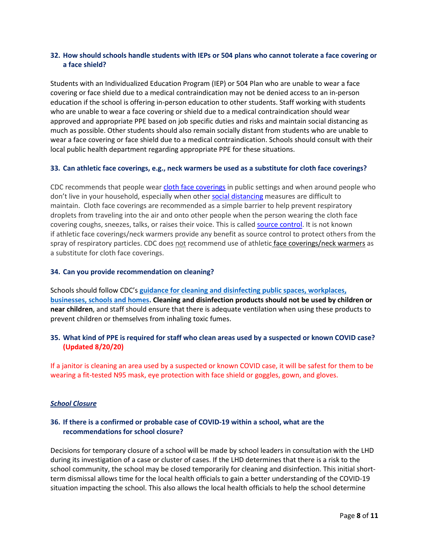# **32. How should schools handle students with IEPs or 504 plans who cannot tolerate a face covering or a face shield?**

Students with an Individualized Education Program (IEP) or 504 Plan who are unable to wear a face covering or face shield due to a medical contraindication may not be denied access to an in-person education if the school is offering in-person education to other students. Staff working with students who are unable to wear a face covering or shield due to a medical contraindication should wear approved and appropriate PPE based on job specific duties and risks and maintain social distancing as much as possible. Other students should also remain socially distant from students who are unable to wear a face covering or face shield due to a medical contraindication. Schools should consult with their local public health department regarding appropriate PPE for these situations.

#### **33. Can athletic face coverings, e.g., neck warmers be used as a substitute for cloth face coverings?**

CDC recommends that people wear cloth face [coverings](https://www.cdc.gov/coronavirus/2019-ncov/prevent-getting-sick/diy-cloth-face-coverings.html) in public settings and when around people who don't live in your household, especially when other social [distancing](https://www.cdc.gov/coronavirus/2019-ncov/prevent-getting-sick/social-distancing.html) measures are difficult to maintain. Cloth face coverings are recommended as a simple barrier to help prevent respiratory droplets from traveling into the air and onto other people when the person wearing the cloth face covering coughs, sneezes, talks, or raises their voice. This is called source [control.](https://www.cdc.gov/coronavirus/2019-ncov/prevent-getting-sick/cloth-face-cover-guidance.html) It is not known if athletic face coverings/neck warmers provide any benefit as source control to protect others from the spray of respiratory particles. CDC does not recommend use of athletic face coverings/neck warmers as a substitute for cloth face coverings.

#### **34. Can you provide recommendation on cleaning?**

Schools should follow CDC's **[guidance for cleaning and disinfecting public spaces, workplaces,](https://www.cdc.gov/coronavirus/2019-ncov/community/reopen-guidance.html)  [businesses, schools](https://www.cdc.gov/coronavirus/2019-ncov/community/reopen-guidance.html) and homes. Cleaning and disinfection products should not be used by children or near children**, and staff should ensure that there is adequate ventilation when using these products to prevent children or themselves from inhaling toxic fumes.

# **35. What kind of PPE is required for staff who clean areas used by a suspected or known COVID case? (Updated 8/20/20)**

If a janitor is cleaning an area used by a suspected or known COVID case, it will be safest for them to be wearing a fit-tested N95 mask, eye protection with face shield or goggles, gown, and gloves.

#### *School Closure*

# **36. If there is a confirmed or probable case of COVID-19 within a school, what are the recommendations for school closure?**

Decisions for temporary closure of a school will be made by school leaders in consultation with the LHD during its investigation of a case or cluster of cases. If the LHD determines that there is a risk to the school community, the school may be closed temporarily for cleaning and disinfection. This initial shortterm dismissal allows time for the local health officials to gain a better understanding of the COVID-19 situation impacting the school. This also allows the local health officials to help the school determine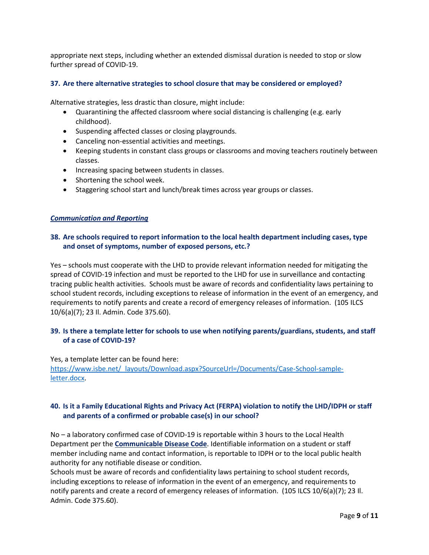appropriate next steps, including whether an extended dismissal duration is needed to stop or slow further spread of COVID-19.

#### **37. Are there alternative strategies to school closure that may be considered or employed?**

Alternative strategies, less drastic than closure, might include:

- Quarantining the affected classroom where social distancing is challenging (e.g. early childhood).
- Suspending affected classes or closing playgrounds.
- Canceling non-essential activities and meetings.
- Keeping students in constant class groups or classrooms and moving teachers routinely between classes.
- Increasing spacing between students in classes.
- Shortening the school week.
- Staggering school start and lunch/break times across year groups or classes.

#### *Communication and Reporting*

# **38. Are schools required to report information to the local health department including cases, type and onset of symptoms, number of exposed persons, etc.?**

Yes – schools must cooperate with the LHD to provide relevant information needed for mitigating the spread of COVID-19 infection and must be reported to the LHD for use in surveillance and contacting tracing public health activities. Schools must be aware of records and confidentiality laws pertaining to school student records, including exceptions to release of information in the event of an emergency, and requirements to notify parents and create a record of emergency releases of information. (105 ILCS 10/6(a)(7); 23 Il. Admin. Code 375.60).

# **39. Is there a template letter for schools to use when notifying parents/guardians, students, and staff of a case of COVID-19?**

Yes, a template letter can be found here: [https://www.isbe.net/\\_layouts/Download.aspx?SourceUrl=/Documents/Case-School-sample](https://www.isbe.net/_layouts/Download.aspx?SourceUrl=/Documents/Case-School-sample-letter.docx)[letter.docx.](https://www.isbe.net/_layouts/Download.aspx?SourceUrl=/Documents/Case-School-sample-letter.docx)

# **40. Is it a Family Educational Rights and Privacy Act (FERPA) violation to notify the LHD/IDPH or staff and parents of a confirmed or probable case(s) in our school?**

No – a laboratory confirmed case of COVID-19 is reportable within 3 hours to the Local Health Department per the **[Communicable Disease Code](ftp://www.ilga.gov/JCAR/AdminCode/077/07700690sections.html)**. Identifiable information on a student or staff member including name and contact information, is reportable to IDPH or to the local public health authority for any notifiable disease or condition.

Schools must be aware of records and confidentiality laws pertaining to school student records, including exceptions to release of information in the event of an emergency, and requirements to notify parents and create a record of emergency releases of information. (105 ILCS 10/6(a)(7); 23 Il. Admin. Code 375.60).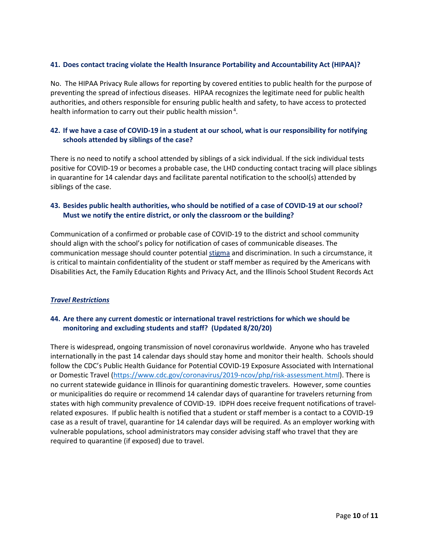## **41. Does contact tracing violate the Health Insurance Portability and Accountability Act (HIPAA)?**

No. The HIPAA Privacy Rule allows for reporting by covered entities to public health for the purpose of preventing the spread of infectious diseases. HIPAA recognizes the legitimate need for public health authorities, and others responsible for ensuring public health and safety, to have access to protected health information to carry out their public health mission<sup>4</sup>.

# **42. If we have a case of COVID-19 in a student at our school, what is our responsibility for notifying schools attended by siblings of the case?**

There is no need to notify a school attended by siblings of a sick individual. If the sick individual tests positive for COVID-19 or becomes a probable case, the LHD conducting contact tracing will place siblings in quarantine for 14 calendar days and facilitate parental notification to the school(s) attended by siblings of the case.

# **43. Besides public health authorities, who should be notified of a case of COVID-19 at our school? Must we notify the entire district, or only the classroom or the building?**

Communication of a confirmed or probable case of COVID-19 to the district and school community should align with the school's policy for notification of cases of communicable diseases. The communication message should counter potentia[l stigma](https://www.cdc.gov/coronavirus/2019-ncov/daily-life-coping/reducing-stigma.html) and discrimination. In such a circumstance, it is critical to maintain confidentiality of the student or staff member as required by the Americans with Disabilities Act, the Family Education Rights and Privacy Act, and the Illinois School Student Records Act

#### *Travel Restrictions*

# **44. Are there any current domestic or international travel restrictions for which we should be monitoring and excluding students and staff? (Updated 8/20/20)**

There is widespread, ongoing transmission of novel coronavirus worldwide. Anyone who has traveled internationally in the past 14 calendar days should stay home and monitor their health. Schools should follow the CDC's Public Health Guidance for Potential COVID-19 Exposure Associated with International or Domestic Travel [\(https://www.cdc.gov/coronavirus/2019-ncov/php/risk-assessment.html\)](https://www.cdc.gov/coronavirus/2019-ncov/php/risk-assessment.html). There is no current statewide guidance in Illinois for quarantining domestic travelers. However, some counties or municipalities do require or recommend 14 calendar days of quarantine for travelers returning from states with high community prevalence of COVID-19. IDPH does receive frequent notifications of travelrelated exposures. If public health is notified that a student or staff member is a contact to a COVID-19 case as a result of travel, quarantine for 14 calendar days will be required. As an employer working with vulnerable populations, school administrators may consider advising staff who travel that they are required to quarantine (if exposed) due to travel.